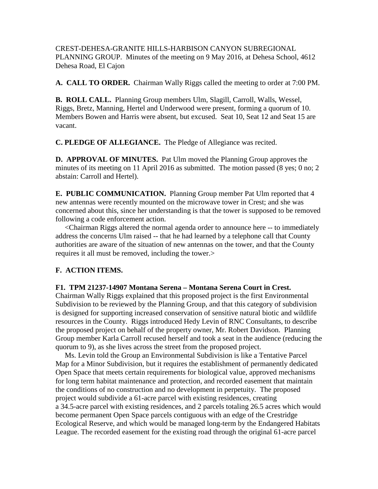CREST-DEHESA-GRANITE HILLS-HARBISON CANYON SUBREGIONAL PLANNING GROUP. Minutes of the meeting on 9 May 2016, at Dehesa School, 4612 Dehesa Road, El Cajon

**A. CALL TO ORDER.** Chairman Wally Riggs called the meeting to order at 7:00 PM.

**B. ROLL CALL.** Planning Group members Ulm, Slagill, Carroll, Walls, Wessel, Riggs, Bretz, Manning, Hertel and Underwood were present, forming a quorum of 10. Members Bowen and Harris were absent, but excused. Seat 10, Seat 12 and Seat 15 are vacant.

**C. PLEDGE OF ALLEGIANCE.** The Pledge of Allegiance was recited.

**D. APPROVAL OF MINUTES.** Pat Ulm moved the Planning Group approves the minutes of its meeting on 11 April 2016 as submitted. The motion passed (8 yes; 0 no; 2 abstain: Carroll and Hertel).

**E. PUBLIC COMMUNICATION.** Planning Group member Pat Ulm reported that 4 new antennas were recently mounted on the microwave tower in Crest; and she was concerned about this, since her understanding is that the tower is supposed to be removed following a code enforcement action.

 <Chairman Riggs altered the normal agenda order to announce here -- to immediately address the concerns Ulm raised -- that he had learned by a telephone call that County authorities are aware of the situation of new antennas on the tower, and that the County requires it all must be removed, including the tower.>

## **F. ACTION ITEMS.**

## **F1. TPM 21237-14907 Montana Serena – Montana Serena Court in Crest.**

Chairman Wally Riggs explained that this proposed project is the first Environmental Subdivision to be reviewed by the Planning Group, and that this category of subdivision is designed for supporting increased conservation of sensitive natural biotic and wildlife resources in the County. Riggs introduced Hedy Levin of RNC Consultants, to describe the proposed project on behalf of the property owner, Mr. Robert Davidson. Planning Group member Karla Carroll recused herself and took a seat in the audience (reducing the quorum to 9), as she lives across the street from the proposed project.

 Ms. Levin told the Group an Environmental Subdivision is like a Tentative Parcel Map for a Minor Subdivision, but it requires the establishment of permanently dedicated Open Space that meets certain requirements for biological value, approved mechanisms for long term habitat maintenance and protection, and recorded easement that maintain the conditions of no construction and no development in perpetuity. The proposed project would subdivide a 61-acre parcel with existing residences, creating a 34.5-acre parcel with existing residences, and 2 parcels totaling 26.5 acres which would become permanent Open Space parcels contiguous with an edge of the Crestridge Ecological Reserve, and which would be managed long-term by the Endangered Habitats League. The recorded easement for the existing road through the original 61-acre parcel